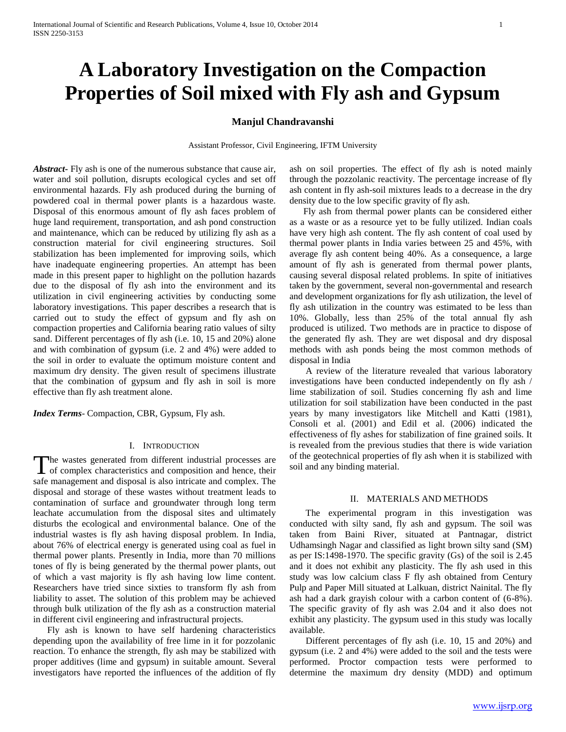# **A Laboratory Investigation on the Compaction Properties of Soil mixed with Fly ash and Gypsum**

# **Manjul Chandravanshi**

Assistant Professor, Civil Engineering, IFTM University

*Abstract***-** Fly ash is one of the numerous substance that cause air, water and soil pollution, disrupts ecological cycles and set off environmental hazards. Fly ash produced during the burning of powdered coal in thermal power plants is a hazardous waste. Disposal of this enormous amount of fly ash faces problem of huge land requirement, transportation, and ash pond construction and maintenance, which can be reduced by utilizing fly ash as a construction material for civil engineering structures. Soil stabilization has been implemented for improving soils, which have inadequate engineering properties. An attempt has been made in this present paper to highlight on the pollution hazards due to the disposal of fly ash into the environment and its utilization in civil engineering activities by conducting some laboratory investigations. This paper describes a research that is carried out to study the effect of gypsum and fly ash on compaction properties and California bearing ratio values of silty sand. Different percentages of fly ash (i.e. 10, 15 and 20%) alone and with combination of gypsum (i.e. 2 and 4%) were added to the soil in order to evaluate the optimum moisture content and maximum dry density. The given result of specimens illustrate that the combination of gypsum and fly ash in soil is more effective than fly ash treatment alone.

*Index Terms*- Compaction, CBR, Gypsum, Fly ash.

#### I. INTRODUCTION

he wastes generated from different industrial processes are The wastes generated from different industrial processes are<br>of complex characteristics and composition and hence, their safe management and disposal is also intricate and complex. The disposal and storage of these wastes without treatment leads to contamination of surface and groundwater through long term leachate accumulation from the disposal sites and ultimately disturbs the ecological and environmental balance. One of the industrial wastes is fly ash having disposal problem. In India, about 76% of electrical energy is generated using coal as fuel in thermal power plants. Presently in India, more than 70 millions tones of fly is being generated by the thermal power plants, out of which a vast majority is fly ash having low lime content. Researchers have tried since sixties to transform fly ash from liability to asset. The solution of this problem may be achieved through bulk utilization of the fly ash as a construction material in different civil engineering and infrastructural projects.

 Fly ash is known to have self hardening characteristics depending upon the availability of free lime in it for pozzolanic reaction. To enhance the strength, fly ash may be stabilized with proper additives (lime and gypsum) in suitable amount. Several investigators have reported the influences of the addition of fly ash on soil properties. The effect of fly ash is noted mainly through the pozzolanic reactivity. The percentage increase of fly ash content in fly ash-soil mixtures leads to a decrease in the dry density due to the low specific gravity of fly ash.

 Fly ash from thermal power plants can be considered either as a waste or as a resource yet to be fully utilized. Indian coals have very high ash content. The fly ash content of coal used by thermal power plants in India varies between 25 and 45%, with average fly ash content being 40%. As a consequence, a large amount of fly ash is generated from thermal power plants, causing several disposal related problems. In spite of initiatives taken by the government, several non-governmental and research and development organizations for fly ash utilization, the level of fly ash utilization in the country was estimated to be less than 10%. Globally, less than 25% of the total annual fly ash produced is utilized. Two methods are in practice to dispose of the generated fly ash. They are wet disposal and dry disposal methods with ash ponds being the most common methods of disposal in India

 A review of the literature revealed that various laboratory investigations have been conducted independently on fly ash / lime stabilization of soil. Studies concerning fly ash and lime utilization for soil stabilization have been conducted in the past years by many investigators like Mitchell and Katti (1981), Consoli et al. (2001) and Edil et al. (2006) indicated the effectiveness of fly ashes for stabilization of fine grained soils. It is revealed from the previous studies that there is wide variation of the geotechnical properties of fly ash when it is stabilized with soil and any binding material.

## II. MATERIALS AND METHODS

 The experimental program in this investigation was conducted with silty sand, fly ash and gypsum. The soil was taken from Baini River, situated at Pantnagar, district Udhamsingh Nagar and classified as light brown silty sand (SM) as per IS:1498-1970. The specific gravity (Gs) of the soil is 2.45 and it does not exhibit any plasticity. The fly ash used in this study was low calcium class F fly ash obtained from Century Pulp and Paper Mill situated at Lalkuan, district Nainital. The fly ash had a dark grayish colour with a carbon content of (6-8%). The specific gravity of fly ash was 2.04 and it also does not exhibit any plasticity. The gypsum used in this study was locally available.

 Different percentages of fly ash (i.e. 10, 15 and 20%) and gypsum (i.e. 2 and 4%) were added to the soil and the tests were performed. Proctor compaction tests were performed to determine the maximum dry density (MDD) and optimum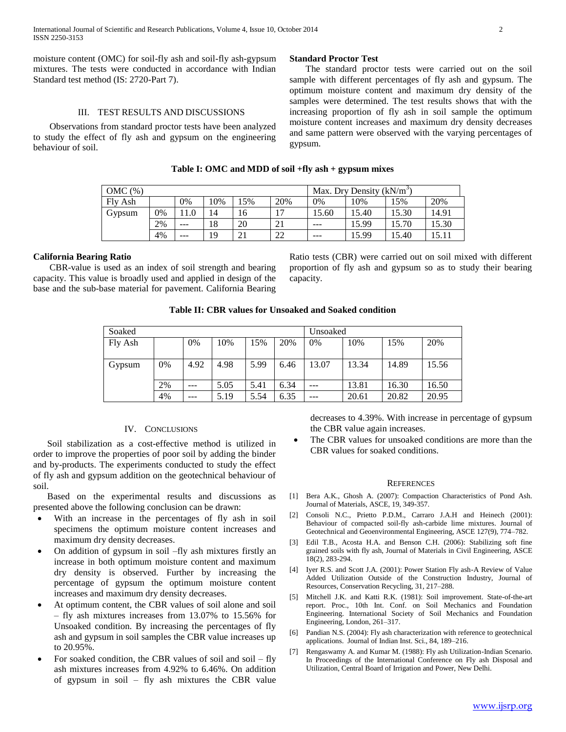moisture content (OMC) for soil-fly ash and soil-fly ash-gypsum mixtures. The tests were conducted in accordance with Indian Standard test method (IS: 2720-Part 7).

## III. TEST RESULTS AND DISCUSSIONS

 Observations from standard proctor tests have been analyzed to study the effect of fly ash and gypsum on the engineering behaviour of soil.

### **Standard Proctor Test**

 The standard proctor tests were carried out on the soil sample with different percentages of fly ash and gypsum. The optimum moisture content and maximum dry density of the samples were determined. The test results shows that with the increasing proportion of fly ash in soil sample the optimum moisture content increases and maximum dry density decreases and same pattern were observed with the varying percentages of gypsum.

# **Table I: OMC and MDD of soil +fly ash + gypsum mixes**

| OMC(%)  |    |     |     |     | Max. Dry Density $(kN/m^3)$ |         |       |       |       |
|---------|----|-----|-----|-----|-----------------------------|---------|-------|-------|-------|
| Fly Ash |    | 0%  | 10% | 15% | 20%                         | 0%      | 10%   | .5%   | 20%   |
| Gypsum  | 0% |     | 14  | 16  | $\overline{\phantom{a}}$    | 15.60   | 15.40 | 15.30 | 14.91 |
|         | 2% | --- | 18  | 20  | 21                          | $- - -$ | 15.99 | 15.70 | 15.30 |
|         | 4% | --- | 19  | 21  | 22                          | ---     | 15.99 | 15.40 | 15.11 |

## **California Bearing Ratio**

 CBR-value is used as an index of soil strength and bearing capacity. This value is broadly used and applied in design of the base and the sub-base material for pavement. California Bearing

Ratio tests (CBR) were carried out on soil mixed with different proportion of fly ash and gypsum so as to study their bearing capacity.

| Table II: CBR values for Unsoaked and Soaked condition |  |
|--------------------------------------------------------|--|
|                                                        |  |

| Soaked  |    |       |      |      | Unsoaked |       |       |       |       |
|---------|----|-------|------|------|----------|-------|-------|-------|-------|
| Fly Ash |    | $0\%$ | 10%  | 15%  | 20%      | 0%    | 10%   | 15%   | 20%   |
|         |    |       |      |      |          |       |       |       |       |
| Gypsum  | 0% | 4.92  | 4.98 | 5.99 | 6.46     | 13.07 | 13.34 | 14.89 | 15.56 |
|         |    |       |      |      |          |       |       |       |       |
|         | 2% | ---   | 5.05 | 5.41 | 6.34     |       | 13.81 | 16.30 | 16.50 |
|         | 4% | ---   | 5.19 | 5.54 | 6.35     | ---   | 20.61 | 20.82 | 20.95 |

## IV. CONCLUSIONS

 Soil stabilization as a cost-effective method is utilized in order to improve the properties of poor soil by adding the binder and by-products. The experiments conducted to study the effect of fly ash and gypsum addition on the geotechnical behaviour of soil.

 Based on the experimental results and discussions as presented above the following conclusion can be drawn:

- With an increase in the percentages of fly ash in soil specimens the optimum moisture content increases and maximum dry density decreases.
- On addition of gypsum in soil –fly ash mixtures firstly an increase in both optimum moisture content and maximum dry density is observed. Further by increasing the percentage of gypsum the optimum moisture content increases and maximum dry density decreases.
- At optimum content, the CBR values of soil alone and soil – fly ash mixtures increases from 13.07% to 15.56% for Unsoaked condition. By increasing the percentages of fly ash and gypsum in soil samples the CBR value increases up to 20.95%.
- For soaked condition, the CBR values of soil and soil fly ash mixtures increases from 4.92% to 6.46%. On addition of gypsum in soil – fly ash mixtures the CBR value

decreases to 4.39%. With increase in percentage of gypsum the CBR value again increases.

 The CBR values for unsoaked conditions are more than the CBR values for soaked conditions.

#### **REFERENCES**

- [1] Bera A.K., Ghosh A. (2007): Compaction Characteristics of Pond Ash. Journal of Materials, ASCE, 19, 349-357.
- [2] Consoli N.C., Prietto P.D.M., Carraro J.A.H and Heinech (2001): Behaviour of compacted soil-fly ash-carbide lime mixtures. Journal of Geotechnical and Geoenvironmental Engineering, ASCE 127(9), 774–782.
- [3] Edil T.B., Acosta H.A. and Benson C.H. (2006): Stabilizing soft fine grained soils with fly ash, Journal of Materials in Civil Engineering, ASCE 18(2), 283-294.
- [4] Iyer R.S. and Scott J.A. (2001): Power Station Fly ash-A Review of Value Added Utilization Outside of the Construction Industry, Journal of Resources, Conservation Recycling, 31, 217–288.
- [5] Mitchell J.K. and Katti R.K. (1981): Soil improvement. State-of-the-art report. Proc., 10th Int. Conf. on Soil Mechanics and Foundation Engineering. International Society of Soil Mechanics and Foundation Engineering, London, 261–317.
- [6] Pandian N.S. (2004): Fly ash characterization with reference to geotechnical applications. Journal of Indian Inst. Sci., 84, 189–216.
- [7] Rengaswamy A. and Kumar M. (1988): Fly ash Utilization-Indian Scenario. In Proceedings of the International Conference on Fly ash Disposal and Utilization, Central Board of Irrigation and Power, New Delhi.